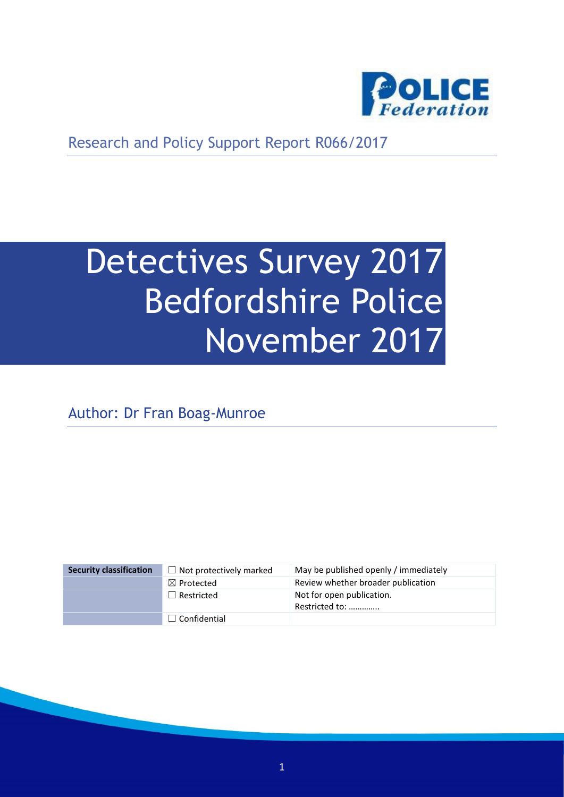

Research and Policy Support Report R066/2017

# Detectives Survey 2017 Bedfordshire Police November 2017

Author: Dr Fran Boag-Munroe

| <b>Security classification</b> | $\Box$ Not protectively marked | May be published openly / immediately       |
|--------------------------------|--------------------------------|---------------------------------------------|
|                                | $\boxtimes$ Protected          | Review whether broader publication          |
|                                | $\Box$ Restricted              | Not for open publication.<br>Restricted to: |
|                                | $\Box$ Confidential            |                                             |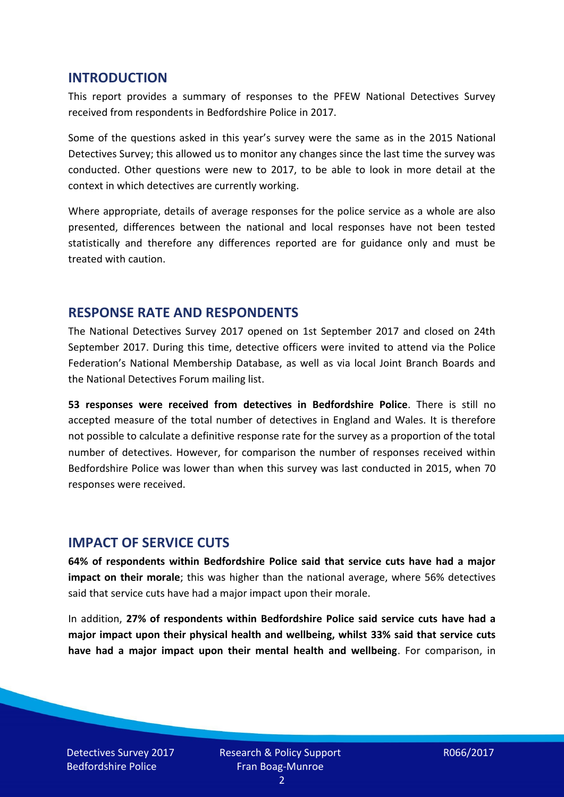#### **INTRODUCTION**

This report provides a summary of responses to the PFEW National Detectives Survey received from respondents in Bedfordshire Police in 2017.

Some of the questions asked in this year's survey were the same as in the 2015 National Detectives Survey; this allowed us to monitor any changes since the last time the survey was conducted. Other questions were new to 2017, to be able to look in more detail at the context in which detectives are currently working.

Where appropriate, details of average responses for the police service as a whole are also presented, differences between the national and local responses have not been tested statistically and therefore any differences reported are for guidance only and must be treated with caution.

#### **RESPONSE RATE AND RESPONDENTS**

The National Detectives Survey 2017 opened on 1st September 2017 and closed on 24th September 2017. During this time, detective officers were invited to attend via the Police Federation's National Membership Database, as well as via local Joint Branch Boards and the National Detectives Forum mailing list.

**53 responses were received from detectives in Bedfordshire Police**. There is still no accepted measure of the total number of detectives in England and Wales. It is therefore not possible to calculate a definitive response rate for the survey as a proportion of the total number of detectives. However, for comparison the number of responses received within Bedfordshire Police was lower than when this survey was last conducted in 2015, when 70 responses were received.

## **IMPACT OF SERVICE CUTS**

**64% of respondents within Bedfordshire Police said that service cuts have had a major impact on their morale**; this was higher than the national average, where 56% detectives said that service cuts have had a major impact upon their morale.

In addition, **27% of respondents within Bedfordshire Police said service cuts have had a major impact upon their physical health and wellbeing, whilst 33% said that service cuts have had a major impact upon their mental health and wellbeing**. For comparison, in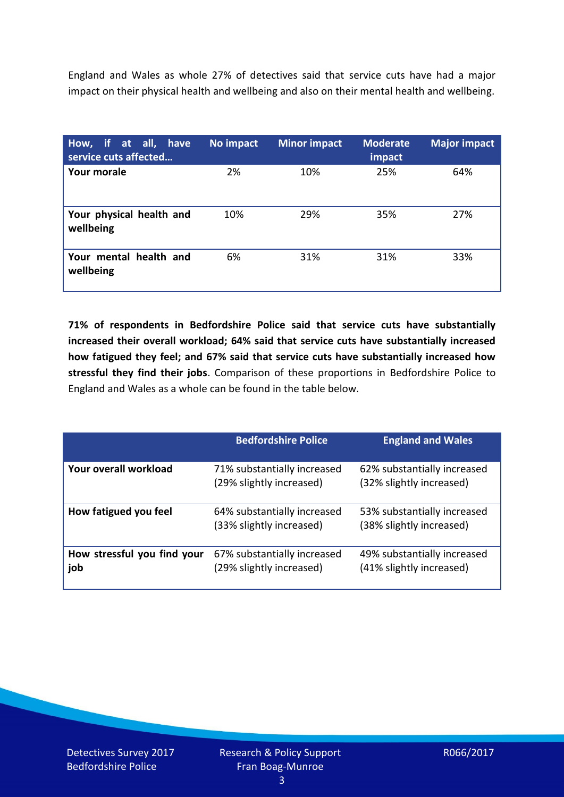England and Wales as whole 27% of detectives said that service cuts have had a major impact on their physical health and wellbeing and also on their mental health and wellbeing.

| How, if at all, have<br>service cuts affected | No impact | <b>Minor impact</b> | <b>Moderate</b><br>impact | <b>Major impact</b> |
|-----------------------------------------------|-----------|---------------------|---------------------------|---------------------|
| Your morale                                   | 2%        | 10%                 | 25%                       | 64%                 |
| Your physical health and<br>wellbeing         | 10%       | 29%                 | 35%                       | 27%                 |
| Your mental health and<br>wellbeing           | 6%        | 31%                 | 31%                       | 33%                 |

**71% of respondents in Bedfordshire Police said that service cuts have substantially increased their overall workload; 64% said that service cuts have substantially increased how fatigued they feel; and 67% said that service cuts have substantially increased how stressful they find their jobs**. Comparison of these proportions in Bedfordshire Police to England and Wales as a whole can be found in the table below.

|                                    | <b>Bedfordshire Police</b>                              | <b>England and Wales</b>                                |
|------------------------------------|---------------------------------------------------------|---------------------------------------------------------|
| Your overall workload              | 71% substantially increased<br>(29% slightly increased) | 62% substantially increased<br>(32% slightly increased) |
| How fatigued you feel              | 64% substantially increased<br>(33% slightly increased) | 53% substantially increased<br>(38% slightly increased) |
| How stressful you find your<br>job | 67% substantially increased<br>(29% slightly increased) | 49% substantially increased<br>(41% slightly increased) |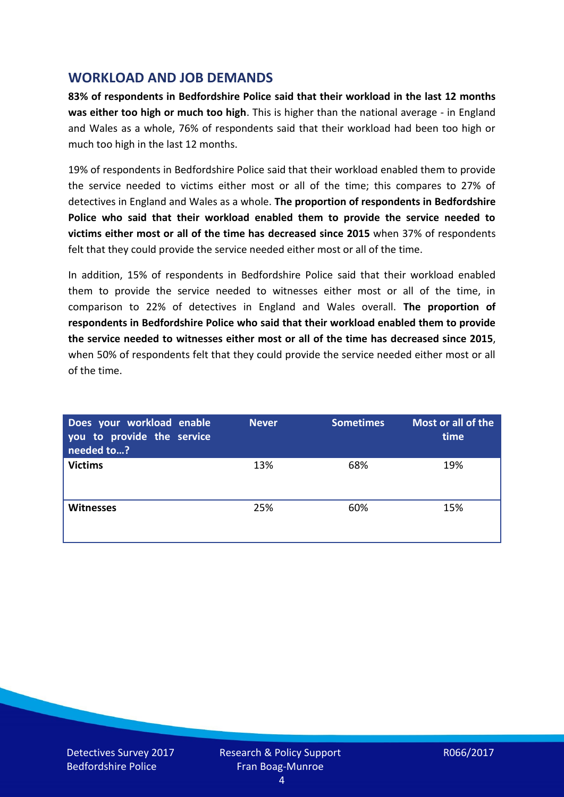## **WORKLOAD AND JOB DEMANDS**

**83% of respondents in Bedfordshire Police said that their workload in the last 12 months was either too high or much too high**. This is higher than the national average - in England and Wales as a whole, 76% of respondents said that their workload had been too high or much too high in the last 12 months.

19% of respondents in Bedfordshire Police said that their workload enabled them to provide the service needed to victims either most or all of the time; this compares to 27% of detectives in England and Wales as a whole. **The proportion of respondents in Bedfordshire Police who said that their workload enabled them to provide the service needed to victims either most or all of the time has decreased since 2015** when 37% of respondents felt that they could provide the service needed either most or all of the time.

In addition, 15% of respondents in Bedfordshire Police said that their workload enabled them to provide the service needed to witnesses either most or all of the time, in comparison to 22% of detectives in England and Wales overall. **The proportion of respondents in Bedfordshire Police who said that their workload enabled them to provide the service needed to witnesses either most or all of the time has decreased since 2015**, when 50% of respondents felt that they could provide the service needed either most or all of the time.

| Does your workload enable<br>you to provide the service<br>needed to? | <b>Never</b> | <b>Sometimes</b> | Most or all of the<br>time |
|-----------------------------------------------------------------------|--------------|------------------|----------------------------|
| <b>Victims</b>                                                        | 13%          | 68%              | 19%                        |
| <b>Witnesses</b>                                                      | 25%          | 60%              | 15%                        |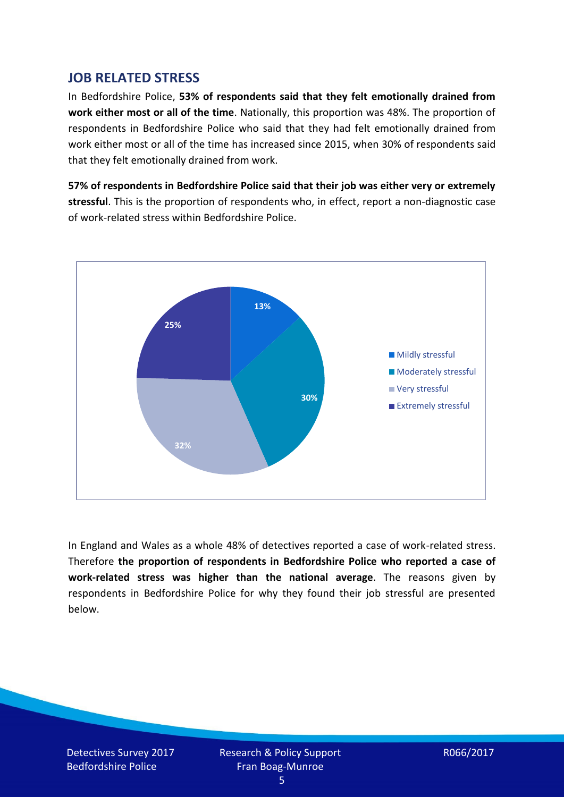## **JOB RELATED STRESS**

In Bedfordshire Police, **53% of respondents said that they felt emotionally drained from work either most or all of the time**. Nationally, this proportion was 48%. The proportion of respondents in Bedfordshire Police who said that they had felt emotionally drained from work either most or all of the time has increased since 2015, when 30% of respondents said that they felt emotionally drained from work.

**57% of respondents in Bedfordshire Police said that their job was either very or extremely stressful**. This is the proportion of respondents who, in effect, report a non-diagnostic case of work-related stress within Bedfordshire Police.



In England and Wales as a whole 48% of detectives reported a case of work-related stress. Therefore **the proportion of respondents in Bedfordshire Police who reported a case of work-related stress was higher than the national average**. The reasons given by respondents in Bedfordshire Police for why they found their job stressful are presented below.

Detectives Survey 2017 Bedfordshire Police

Research & Policy Support Fran Boag-Munroe

R066/2017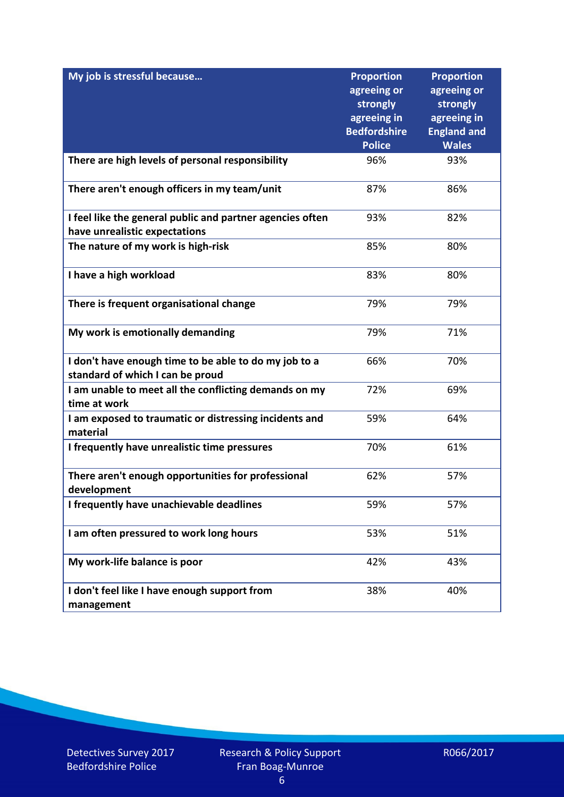| My job is stressful because                                                                | <b>Proportion</b><br>agreeing or               | <b>Proportion</b><br>agreeing or              |
|--------------------------------------------------------------------------------------------|------------------------------------------------|-----------------------------------------------|
|                                                                                            | strongly<br>agreeing in<br><b>Bedfordshire</b> | strongly<br>agreeing in<br><b>England and</b> |
|                                                                                            | <b>Police</b>                                  | <b>Wales</b>                                  |
| There are high levels of personal responsibility                                           | 96%                                            | 93%                                           |
| There aren't enough officers in my team/unit                                               | 87%                                            | 86%                                           |
| I feel like the general public and partner agencies often<br>have unrealistic expectations | 93%                                            | 82%                                           |
| The nature of my work is high-risk                                                         | 85%                                            | 80%                                           |
| I have a high workload                                                                     | 83%                                            | 80%                                           |
| There is frequent organisational change                                                    | 79%                                            | 79%                                           |
| My work is emotionally demanding                                                           | 79%                                            | 71%                                           |
| I don't have enough time to be able to do my job to a<br>standard of which I can be proud  | 66%                                            | 70%                                           |
| I am unable to meet all the conflicting demands on my<br>time at work                      | 72%                                            | 69%                                           |
| I am exposed to traumatic or distressing incidents and<br>material                         | 59%                                            | 64%                                           |
| I frequently have unrealistic time pressures                                               | 70%                                            | 61%                                           |
| There aren't enough opportunities for professional<br>development                          | 62%                                            | 57%                                           |
| I frequently have unachievable deadlines                                                   | 59%                                            | 57%                                           |
| I am often pressured to work long hours                                                    | 53%                                            | 51%                                           |
| My work-life balance is poor                                                               | 42%                                            | 43%                                           |
| I don't feel like I have enough support from<br>management                                 | 38%                                            | 40%                                           |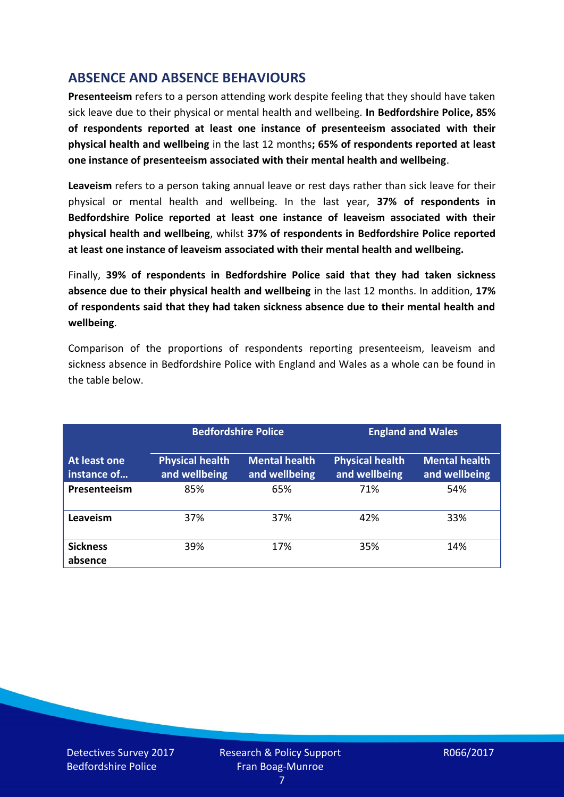# **ABSENCE AND ABSENCE BEHAVIOURS**

**Presenteeism** refers to a person attending work despite feeling that they should have taken sick leave due to their physical or mental health and wellbeing. **In Bedfordshire Police, 85% of respondents reported at least one instance of presenteeism associated with their physical health and wellbeing** in the last 12 months**; 65% of respondents reported at least one instance of presenteeism associated with their mental health and wellbeing**.

**Leaveism** refers to a person taking annual leave or rest days rather than sick leave for their physical or mental health and wellbeing. In the last year, **37% of respondents in Bedfordshire Police reported at least one instance of leaveism associated with their physical health and wellbeing**, whilst **37% of respondents in Bedfordshire Police reported at least one instance of leaveism associated with their mental health and wellbeing.**

Finally, **39% of respondents in Bedfordshire Police said that they had taken sickness absence due to their physical health and wellbeing** in the last 12 months. In addition, **17% of respondents said that they had taken sickness absence due to their mental health and wellbeing**.

Comparison of the proportions of respondents reporting presenteeism, leaveism and sickness absence in Bedfordshire Police with England and Wales as a whole can be found in the table below.

|                             |                                         | <b>Bedfordshire Police</b>            |                                         | <b>England and Wales</b>              |
|-----------------------------|-----------------------------------------|---------------------------------------|-----------------------------------------|---------------------------------------|
| At least one<br>instance of | <b>Physical health</b><br>and wellbeing | <b>Mental health</b><br>and wellbeing | <b>Physical health</b><br>and wellbeing | <b>Mental health</b><br>and wellbeing |
| Presenteeism                | 85%                                     | 65%                                   | 71%                                     | 54%                                   |
| Leaveism                    | 37%                                     | 37%                                   | 42%                                     | 33%                                   |
| <b>Sickness</b><br>absence  | 39%                                     | 17%                                   | 35%                                     | 14%                                   |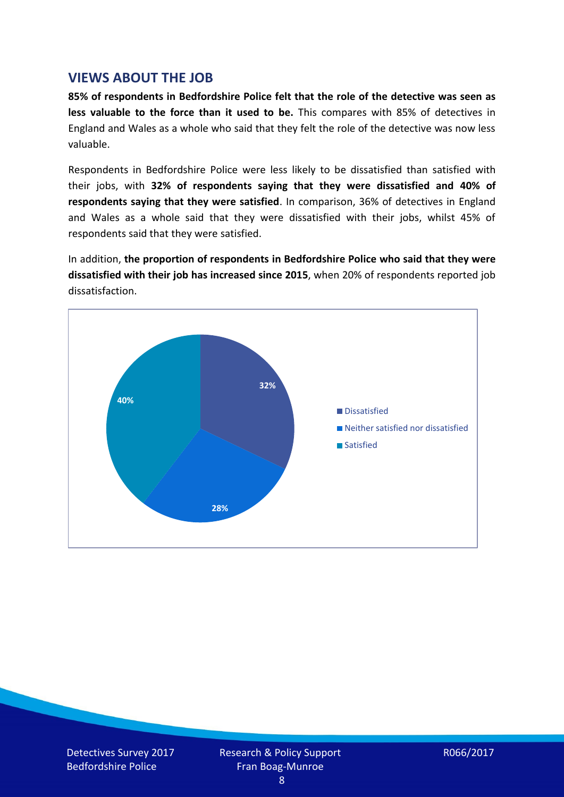#### **VIEWS ABOUT THE JOB**

**85% of respondents in Bedfordshire Police felt that the role of the detective was seen as less valuable to the force than it used to be.** This compares with 85% of detectives in England and Wales as a whole who said that they felt the role of the detective was now less valuable.

Respondents in Bedfordshire Police were less likely to be dissatisfied than satisfied with their jobs, with **32% of respondents saying that they were dissatisfied and 40% of respondents saying that they were satisfied**. In comparison, 36% of detectives in England and Wales as a whole said that they were dissatisfied with their jobs, whilst 45% of respondents said that they were satisfied.

In addition, **the proportion of respondents in Bedfordshire Police who said that they were dissatisfied with their job has increased since 2015**, when 20% of respondents reported job dissatisfaction.

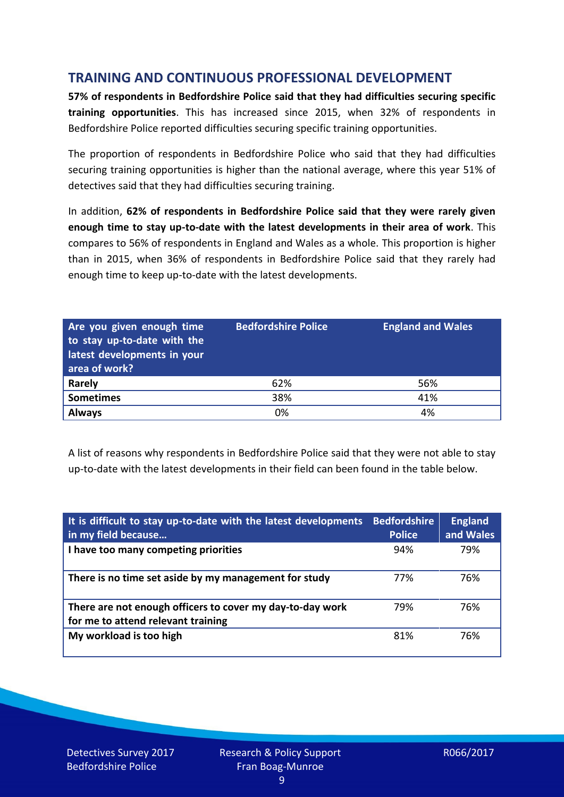# **TRAINING AND CONTINUOUS PROFESSIONAL DEVELOPMENT**

**57% of respondents in Bedfordshire Police said that they had difficulties securing specific training opportunities**. This has increased since 2015, when 32% of respondents in Bedfordshire Police reported difficulties securing specific training opportunities.

The proportion of respondents in Bedfordshire Police who said that they had difficulties securing training opportunities is higher than the national average, where this year 51% of detectives said that they had difficulties securing training.

In addition, **62% of respondents in Bedfordshire Police said that they were rarely given enough time to stay up-to-date with the latest developments in their area of work**. This compares to 56% of respondents in England and Wales as a whole. This proportion is higher than in 2015, when 36% of respondents in Bedfordshire Police said that they rarely had enough time to keep up-to-date with the latest developments.

| Are you given enough time<br>to stay up-to-date with the<br>latest developments in your<br>area of work? | <b>Bedfordshire Police</b> | <b>England and Wales</b> |
|----------------------------------------------------------------------------------------------------------|----------------------------|--------------------------|
| Rarely                                                                                                   | 62%                        | 56%                      |
| <b>Sometimes</b>                                                                                         | 38%                        | 41%                      |
| <b>Always</b>                                                                                            | 0%                         | 4%                       |

A list of reasons why respondents in Bedfordshire Police said that they were not able to stay up-to-date with the latest developments in their field can been found in the table below.

| It is difficult to stay up-to-date with the latest developments<br>in my field because          | <b>Bedfordshire</b><br><b>Police</b> | <b>England</b><br>and Wales |
|-------------------------------------------------------------------------------------------------|--------------------------------------|-----------------------------|
| I have too many competing priorities                                                            | 94%                                  | 79%                         |
| There is no time set aside by my management for study                                           | 77%                                  | 76%                         |
| There are not enough officers to cover my day-to-day work<br>for me to attend relevant training | 79%                                  | 76%                         |
| My workload is too high                                                                         | 81%                                  | 76%                         |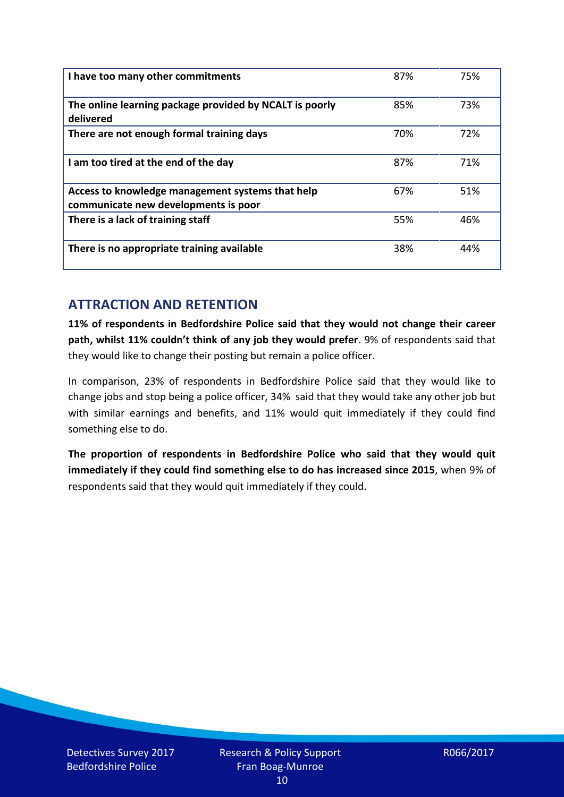| I have too many other commitments                                                        | 87% | 75% |
|------------------------------------------------------------------------------------------|-----|-----|
| The online learning package provided by NCALT is poorly<br>delivered                     | 85% | 73% |
| There are not enough formal training days                                                | 70% | 72% |
| I am too tired at the end of the day                                                     | 87% | 71% |
| Access to knowledge management systems that help<br>communicate new developments is poor | 67% | 51% |
| There is a lack of training staff                                                        | 55% | 46% |
| There is no appropriate training available                                               | 38% | 44% |

# **ATTRACTION AND RETENTION**

**11% of respondents in Bedfordshire Police said that they would not change their career path, whilst 11% couldn't think of any job they would prefer**. 9% of respondents said that they would like to change their posting but remain a police officer.

In comparison, 23% of respondents in Bedfordshire Police said that they would like to change jobs and stop being a police officer, 34% said that they would take any other job but with similar earnings and benefits, and 11% would quit immediately if they could find something else to do.

**The proportion of respondents in Bedfordshire Police who said that they would quit immediately if they could find something else to do has increased since 2015**, when 9% of respondents said that they would quit immediately if they could.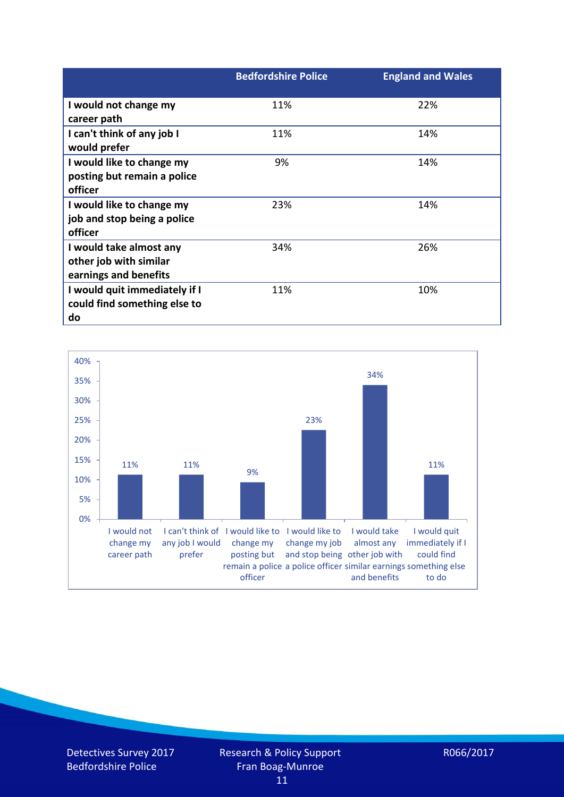|                               | <b>Bedfordshire Police</b> | <b>England and Wales</b> |
|-------------------------------|----------------------------|--------------------------|
| I would not change my         | 11%                        | 22%                      |
| career path                   |                            |                          |
| I can't think of any job I    | 11%                        | 14%                      |
| would prefer                  |                            |                          |
| I would like to change my     | 9%                         | 14%                      |
| posting but remain a police   |                            |                          |
| officer                       |                            |                          |
| I would like to change my     | 23%                        | 14%                      |
| job and stop being a police   |                            |                          |
| officer                       |                            |                          |
| I would take almost any       | 34%                        | 26%                      |
| other job with similar        |                            |                          |
| earnings and benefits         |                            |                          |
| I would quit immediately if I | 11%                        | 10%                      |
| could find something else to  |                            |                          |
| do                            |                            |                          |